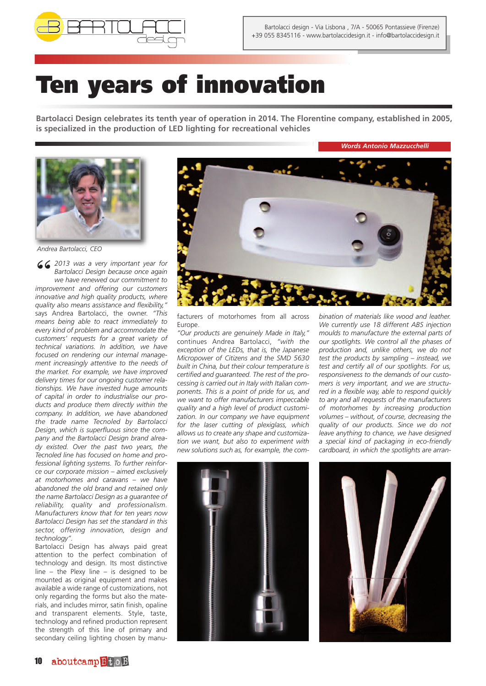

## **Ten years of innovation**

**Bartolacci Design celebrates its tenth year of operation in 2014. The Florentine company, established in 2005, is specialized in the production of LED lighting for recreational vehicles**

*Words Antonio Mazzucchelli*



*Andrea Bartolacci, CEO*

*" <sup>2013</sup> was <sup>a</sup> very important year for Bartolacci Design because once again we have renewed our commitment to improvement and offering our customers innovative and high quality products, where quality also means assistance and flexibility,"* says Andrea Bartolacci, the owner. *"This means being able to react immediately to every kind of problem and accommodate the customers' requests for a great variety of technical variations. In addition, we have focused on rendering our internal management increasingly attentive to the needs of the market. For example, we have improved delivery times for our ongoing customer relationships. We have invested huge amounts of capital in order to industrialise our products and produce them directly within the company. In addition, we have abandoned the trade name Tecnoled by Bartolacci Design, which is superfluous since the company and the Bartolacci Design brand already existed. Over the past two years, the Tecnoled line has focused on home and professional lighting systems. To further reinforce our corporate mission – aimed exclusively at motorhomes and caravans – we have abandoned the old brand and retained only the name Bartolacci Design as a guarantee of reliability, quality and professionalism. Manufacturers know that for ten years now Bartolacci Design has set the standard in this sector, offering innovation, design and technology".*

Bartolacci Design has always paid great attention to the perfect combination of technology and design. Its most distinctive line – the Plexy line – is designed to be mounted as original equipment and makes available a wide range of customizations, not only regarding the forms but also the materials, and includes mirror, satin finish, opaline and transparent elements. Style, taste, technology and refined production represent the strength of this line of primary and secondary ceiling lighting chosen by manu-



facturers of motorhomes from all across Europe.

*"Our products are genuinely Made in Italy,"* continues Andrea Bartolacci, *"with the exception of the LEDs, that is, the Japanese Micropower of Citizens and the SMD 5630 built in China, but their colour temperature is certified and guaranteed. The rest of the processing is carried out in Italy with Italian components. This is a point of pride for us, and we want to offer manufacturers impeccable quality and a high level of product customization. In our company we have equipment for the laser cutting of plexiglass, which allows us to create any shape and customization we want, but also to experiment with new solutions such as, for example, the com-* *bination of materials like wood and leather. We currently use 18 different ABS injection moulds to manufacture the external parts of our spotlights. We control all the phases of production and, unlike others, we do not test the products by sampling – instead, we test and certify all of our spotlights. For us, responsiveness to the demands of our customers is very important, and we are structured in a flexible way, able to respond quickly to any and all requests of the manufacturers of motorhomes by increasing production volumes – without, of course, decreasing the quality of our products. Since we do not leave anything to chance, we have designed a special kind of packaging in eco-friendly cardboard, in which the spotlights are arran-*